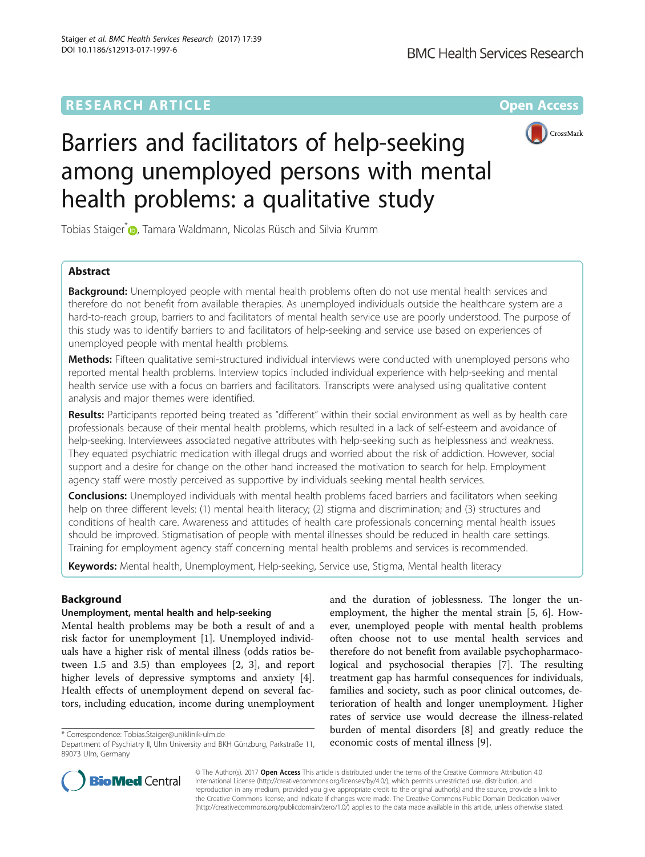# **RESEARCH ARTICLE External Structure Community Community Community Community Community Community Community Community**



# Barriers and facilitators of help-seeking among unemployed persons with mental health problems: a qualitative study

Tobias Staiger<sup>\*</sup><sup>D</sup>[,](http://orcid.org/0000-0002-2114-093X) Tamara Waldmann, Nicolas Rüsch and Silvia Krumm

# Abstract

**Background:** Unemployed people with mental health problems often do not use mental health services and therefore do not benefit from available therapies. As unemployed individuals outside the healthcare system are a hard-to-reach group, barriers to and facilitators of mental health service use are poorly understood. The purpose of this study was to identify barriers to and facilitators of help-seeking and service use based on experiences of unemployed people with mental health problems.

Methods: Fifteen qualitative semi-structured individual interviews were conducted with unemployed persons who reported mental health problems. Interview topics included individual experience with help-seeking and mental health service use with a focus on barriers and facilitators. Transcripts were analysed using qualitative content analysis and major themes were identified.

Results: Participants reported being treated as "different" within their social environment as well as by health care professionals because of their mental health problems, which resulted in a lack of self-esteem and avoidance of help-seeking. Interviewees associated negative attributes with help-seeking such as helplessness and weakness. They equated psychiatric medication with illegal drugs and worried about the risk of addiction. However, social support and a desire for change on the other hand increased the motivation to search for help. Employment agency staff were mostly perceived as supportive by individuals seeking mental health services.

**Conclusions:** Unemployed individuals with mental health problems faced barriers and facilitators when seeking help on three different levels: (1) mental health literacy; (2) stigma and discrimination; and (3) structures and conditions of health care. Awareness and attitudes of health care professionals concerning mental health issues should be improved. Stigmatisation of people with mental illnesses should be reduced in health care settings. Training for employment agency staff concerning mental health problems and services is recommended.

Keywords: Mental health, Unemployment, Help-seeking, Service use, Stigma, Mental health literacy

# Background

# Unemployment, mental health and help-seeking

Mental health problems may be both a result of and a risk factor for unemployment [\[1](#page-7-0)]. Unemployed individuals have a higher risk of mental illness (odds ratios between 1.5 and 3.5) than employees [[2, 3\]](#page-7-0), and report higher levels of depressive symptoms and anxiety [\[4](#page-7-0)]. Health effects of unemployment depend on several factors, including education, income during unemployment

and the duration of joblessness. The longer the unemployment, the higher the mental strain [[5, 6\]](#page-7-0). However, unemployed people with mental health problems often choose not to use mental health services and therefore do not benefit from available psychopharmacological and psychosocial therapies [\[7](#page-7-0)]. The resulting treatment gap has harmful consequences for individuals, families and society, such as poor clinical outcomes, deterioration of health and longer unemployment. Higher rates of service use would decrease the illness-related burden of mental disorders [\[8](#page-7-0)] and greatly reduce the \* Correspondence: [Tobias.Staiger@uniklinik-ulm.de](mailto:Tobias.Staiger@uniklinik-ulm.de)<br>Department of Psychiatry II, Ulm University and BKH Günzburg, Parkstraße 11, **economic costs of mental illness** [[9\]](#page-7-0).



© The Author(s). 2017 **Open Access** This article is distributed under the terms of the Creative Commons Attribution 4.0 International License [\(http://creativecommons.org/licenses/by/4.0/](http://creativecommons.org/licenses/by/4.0/)), which permits unrestricted use, distribution, and reproduction in any medium, provided you give appropriate credit to the original author(s) and the source, provide a link to the Creative Commons license, and indicate if changes were made. The Creative Commons Public Domain Dedication waiver [\(http://creativecommons.org/publicdomain/zero/1.0/](http://creativecommons.org/publicdomain/zero/1.0/)) applies to the data made available in this article, unless otherwise stated.

<sup>89073</sup> Ulm, Germany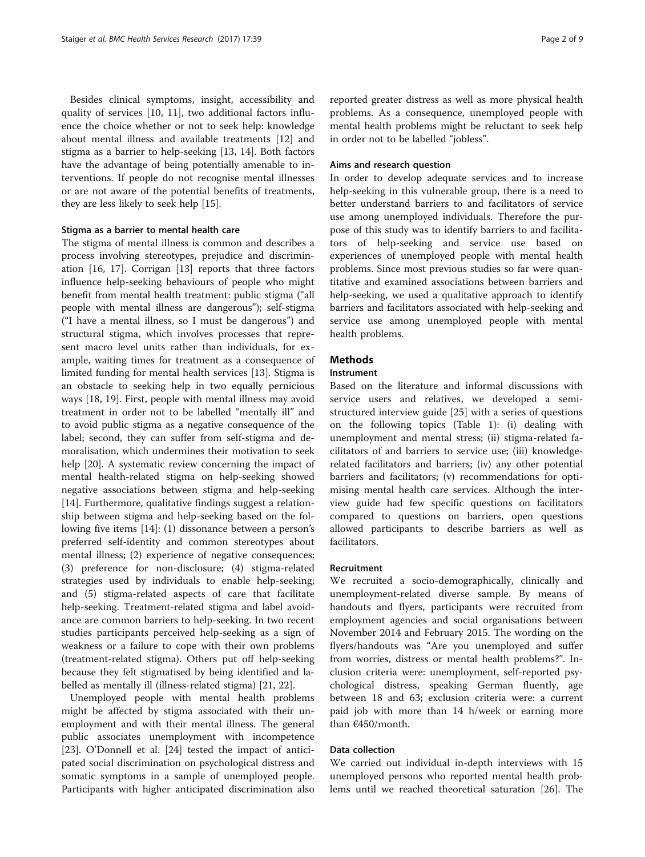Besides clinical symptoms, insight, accessibility and quality of services [[10, 11](#page-7-0)], two additional factors influence the choice whether or not to seek help: knowledge about mental illness and available treatments [[12\]](#page-7-0) and stigma as a barrier to help-seeking [[13](#page-7-0), [14\]](#page-7-0). Both factors have the advantage of being potentially amenable to interventions. If people do not recognise mental illnesses or are not aware of the potential benefits of treatments, they are less likely to seek help [\[15](#page-7-0)].

## Stigma as a barrier to mental health care

The stigma of mental illness is common and describes a process involving stereotypes, prejudice and discrimination [\[16, 17\]](#page-7-0). Corrigan [\[13](#page-7-0)] reports that three factors influence help-seeking behaviours of people who might benefit from mental health treatment: public stigma ("all people with mental illness are dangerous"); self-stigma ("I have a mental illness, so I must be dangerous") and structural stigma, which involves processes that represent macro level units rather than individuals, for example, waiting times for treatment as a consequence of limited funding for mental health services [[13\]](#page-7-0). Stigma is an obstacle to seeking help in two equally pernicious ways [\[18](#page-7-0), [19](#page-7-0)]. First, people with mental illness may avoid treatment in order not to be labelled "mentally ill" and to avoid public stigma as a negative consequence of the label; second, they can suffer from self-stigma and demoralisation, which undermines their motivation to seek help [[20\]](#page-7-0). A systematic review concerning the impact of mental health-related stigma on help-seeking showed negative associations between stigma and help-seeking [[14\]](#page-7-0). Furthermore, qualitative findings suggest a relationship between stigma and help-seeking based on the following five items [\[14\]](#page-7-0): (1) dissonance between a person's preferred self-identity and common stereotypes about mental illness; (2) experience of negative consequences; (3) preference for non-disclosure; (4) stigma-related strategies used by individuals to enable help-seeking; and (5) stigma-related aspects of care that facilitate help-seeking. Treatment-related stigma and label avoidance are common barriers to help-seeking. In two recent studies participants perceived help-seeking as a sign of weakness or a failure to cope with their own problems (treatment-related stigma). Others put off help-seeking because they felt stigmatised by being identified and labelled as mentally ill (illness-related stigma) [\[21](#page-7-0), [22](#page-7-0)].

Unemployed people with mental health problems might be affected by stigma associated with their unemployment and with their mental illness. The general public associates unemployment with incompetence [[23\]](#page-7-0). O'Donnell et al. [[24](#page-7-0)] tested the impact of anticipated social discrimination on psychological distress and somatic symptoms in a sample of unemployed people. Participants with higher anticipated discrimination also

reported greater distress as well as more physical health problems. As a consequence, unemployed people with mental health problems might be reluctant to seek help in order not to be labelled "jobless".

## Aims and research question

In order to develop adequate services and to increase help-seeking in this vulnerable group, there is a need to better understand barriers to and facilitators of service use among unemployed individuals. Therefore the purpose of this study was to identify barriers to and facilitators of help-seeking and service use based on experiences of unemployed people with mental health problems. Since most previous studies so far were quantitative and examined associations between barriers and help-seeking, we used a qualitative approach to identify barriers and facilitators associated with help-seeking and service use among unemployed people with mental health problems.

# **Methods**

# Instrument

Based on the literature and informal discussions with service users and relatives, we developed a semistructured interview guide [[25\]](#page-7-0) with a series of questions on the following topics (Table [1\)](#page-2-0): (i) dealing with unemployment and mental stress; (ii) stigma-related facilitators of and barriers to service use; (iii) knowledgerelated facilitators and barriers; (iv) any other potential barriers and facilitators; (v) recommendations for optimising mental health care services. Although the interview guide had few specific questions on facilitators compared to questions on barriers, open questions allowed participants to describe barriers as well as facilitators.

## Recruitment

We recruited a socio-demographically, clinically and unemployment-related diverse sample. By means of handouts and flyers, participants were recruited from employment agencies and social organisations between November 2014 and February 2015. The wording on the flyers/handouts was "Are you unemployed and suffer from worries, distress or mental health problems?". Inclusion criteria were: unemployment, self-reported psychological distress, speaking German fluently, age between 18 and 63; exclusion criteria were: a current paid job with more than 14 h/week or earning more than €450/month.

# Data collection

We carried out individual in-depth interviews with 15 unemployed persons who reported mental health problems until we reached theoretical saturation [\[26](#page-7-0)]. The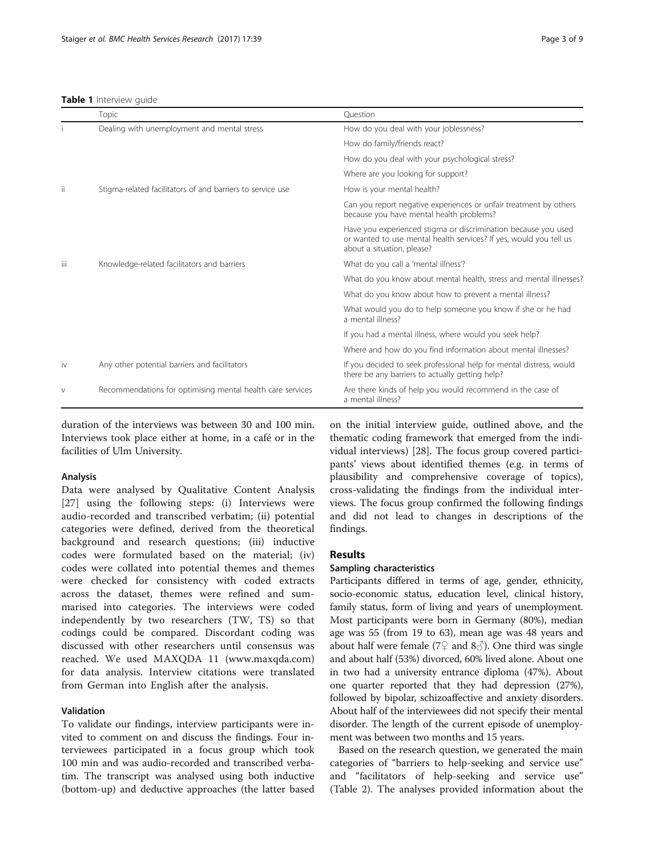<span id="page-2-0"></span>Table 1 Interview quide

|        | Topic                                                      | Ouestion                                                                                                                                                           |
|--------|------------------------------------------------------------|--------------------------------------------------------------------------------------------------------------------------------------------------------------------|
|        | Dealing with unemployment and mental stress                | How do you deal with your joblessness?                                                                                                                             |
|        |                                                            | How do family/friends react?                                                                                                                                       |
|        |                                                            | How do you deal with your psychological stress?                                                                                                                    |
|        |                                                            | Where are you looking for support?                                                                                                                                 |
| -ii    | Stigma-related facilitators of and barriers to service use | How is your mental health?                                                                                                                                         |
|        |                                                            | Can you report negative experiences or unfair treatment by others<br>because you have mental health problems?                                                      |
|        |                                                            | Have you experienced stigma or discrimination because you used<br>or wanted to use mental health services? If yes, would you tell us<br>about a situation, please? |
| Ϊij    | Knowledge-related facilitators and barriers                | What do you call a 'mental illness'?                                                                                                                               |
|        |                                                            | What do you know about mental health, stress and mental illnesses?                                                                                                 |
|        |                                                            | What do you know about how to prevent a mental illness?                                                                                                            |
|        |                                                            | What would you do to help someone you know if she or he had<br>a mental illness?                                                                                   |
|        |                                                            | If you had a mental illness, where would you seek help?                                                                                                            |
|        |                                                            | Where and how do you find information about mental illnesses?                                                                                                      |
| .iv    | Any other potential barriers and facilitators              | If you decided to seek professional help for mental distress, would<br>there be any barriers to actually getting help?                                             |
| $\vee$ | Recommendations for optimising mental health care services | Are there kinds of help you would recommend in the case of<br>a mental illness?                                                                                    |

duration of the interviews was between 30 and 100 min. Interviews took place either at home, in a café or in the facilities of Ulm University.

## Analysis

Data were analysed by Qualitative Content Analysis [[27\]](#page-7-0) using the following steps: (i) Interviews were audio-recorded and transcribed verbatim; (ii) potential categories were defined, derived from the theoretical background and research questions; (iii) inductive codes were formulated based on the material; (iv) codes were collated into potential themes and themes were checked for consistency with coded extracts across the dataset, themes were refined and summarised into categories. The interviews were coded independently by two researchers (TW, TS) so that codings could be compared. Discordant coding was discussed with other researchers until consensus was reached. We used MAXQDA 11 [\(www.maxqda.com](http://www.maxqda.com/)) for data analysis. Interview citations were translated from German into English after the analysis.

# Validation

To validate our findings, interview participants were invited to comment on and discuss the findings. Four interviewees participated in a focus group which took 100 min and was audio-recorded and transcribed verbatim. The transcript was analysed using both inductive (bottom-up) and deductive approaches (the latter based

on the initial interview guide, outlined above, and the thematic coding framework that emerged from the individual interviews) [[28\]](#page-7-0). The focus group covered participants' views about identified themes (e.g. in terms of plausibility and comprehensive coverage of topics), cross-validating the findings from the individual interviews. The focus group confirmed the following findings and did not lead to changes in descriptions of the findings.

# Results

## Sampling characteristics

Participants differed in terms of age, gender, ethnicity, socio-economic status, education level, clinical history, family status, form of living and years of unemployment. Most participants were born in Germany (80%), median age was 55 (from 19 to 63), mean age was 48 years and about half were female ( $7\frac{}{}{}$  and  $8\frac{}{}{}$ ). One third was single and about half (53%) divorced, 60% lived alone. About one in two had a university entrance diploma (47%). About one quarter reported that they had depression (27%), followed by bipolar, schizoaffective and anxiety disorders. About half of the interviewees did not specify their mental disorder. The length of the current episode of unemployment was between two months and 15 years.

Based on the research question, we generated the main categories of "barriers to help-seeking and service use" and "facilitators of help-seeking and service use" (Table [2](#page-3-0)). The analyses provided information about the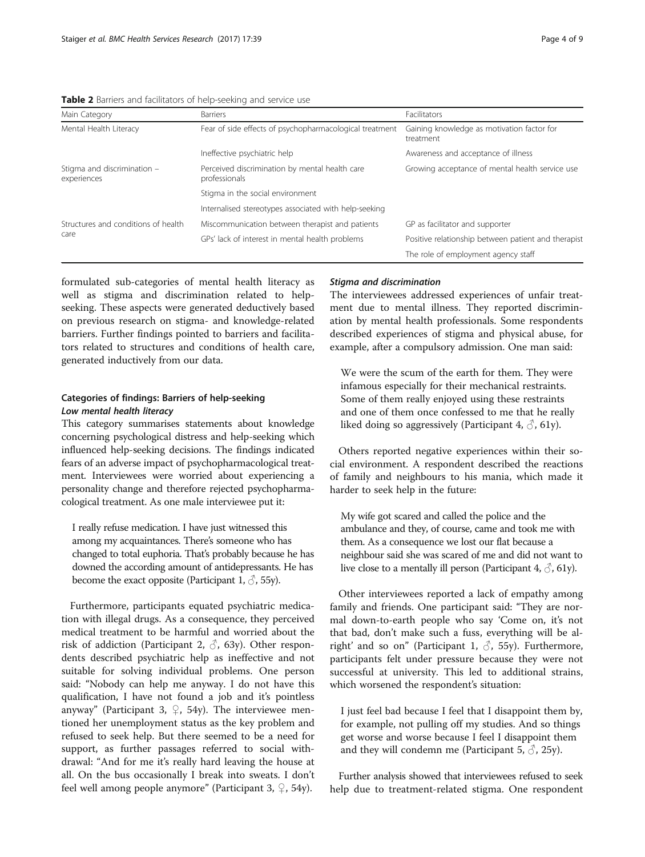| Main Category                              | <b>Barriers</b>                                                 | Facilitators                                            |
|--------------------------------------------|-----------------------------------------------------------------|---------------------------------------------------------|
| Mental Health Literacy                     | Fear of side effects of psychopharmacological treatment         | Gaining knowledge as motivation factor for<br>treatment |
|                                            | Ineffective psychiatric help                                    | Awareness and acceptance of illness                     |
| Stigma and discrimination -<br>experiences | Perceived discrimination by mental health care<br>professionals | Growing acceptance of mental health service use         |
|                                            | Stigma in the social environment                                |                                                         |
|                                            | Internalised stereotypes associated with help-seeking           |                                                         |
| Structures and conditions of health        | Miscommunication between therapist and patients                 | GP as facilitator and supporter                         |
| care                                       | GPs' lack of interest in mental health problems                 | Positive relationship between patient and therapist     |
|                                            |                                                                 | The role of employment agency staff                     |

<span id="page-3-0"></span>Table 2 Barriers and facilitators of help-seeking and service use

formulated sub-categories of mental health literacy as well as stigma and discrimination related to helpseeking. These aspects were generated deductively based on previous research on stigma- and knowledge-related barriers. Further findings pointed to barriers and facilitators related to structures and conditions of health care, generated inductively from our data.

# Categories of findings: Barriers of help-seeking Low mental health literacy

This category summarises statements about knowledge concerning psychological distress and help-seeking which influenced help-seeking decisions. The findings indicated fears of an adverse impact of psychopharmacological treatment. Interviewees were worried about experiencing a personality change and therefore rejected psychopharmacological treatment. As one male interviewee put it:

I really refuse medication. I have just witnessed this among my acquaintances. There's someone who has changed to total euphoria. That's probably because he has downed the according amount of antidepressants. He has become the exact opposite (Participant 1,  $\Diamond$ , 55y).

Furthermore, participants equated psychiatric medication with illegal drugs. As a consequence, they perceived medical treatment to be harmful and worried about the risk of addiction (Participant 2,  $\Diamond$ , 63y). Other respondents described psychiatric help as ineffective and not suitable for solving individual problems. One person said: "Nobody can help me anyway. I do not have this qualification, I have not found a job and it's pointless anyway" (Participant 3,  $\mathcal{Q}$ , 54y). The interviewee mentioned her unemployment status as the key problem and refused to seek help. But there seemed to be a need for support, as further passages referred to social withdrawal: "And for me it's really hard leaving the house at all. On the bus occasionally I break into sweats. I don't feel well among people anymore" (Participant 3,  $\varphi$ , 54y).

## Stigma and discrimination

The interviewees addressed experiences of unfair treatment due to mental illness. They reported discrimination by mental health professionals. Some respondents described experiences of stigma and physical abuse, for example, after a compulsory admission. One man said:

We were the scum of the earth for them. They were infamous especially for their mechanical restraints. Some of them really enjoyed using these restraints and one of them once confessed to me that he really liked doing so aggressively (Participant 4,  $\Diamond$ , 61y).

Others reported negative experiences within their social environment. A respondent described the reactions of family and neighbours to his mania, which made it harder to seek help in the future:

My wife got scared and called the police and the ambulance and they, of course, came and took me with them. As a consequence we lost our flat because a neighbour said she was scared of me and did not want to live close to a mentally ill person (Participant 4,  $\Diamond$ , 61y).

Other interviewees reported a lack of empathy among family and friends. One participant said: "They are normal down-to-earth people who say 'Come on, it's not that bad, don't make such a fuss, everything will be alright' and so on" (Participant 1,  $\Diamond$ , 55y). Furthermore, participants felt under pressure because they were not successful at university. This led to additional strains, which worsened the respondent's situation:

I just feel bad because I feel that I disappoint them by, for example, not pulling off my studies. And so things get worse and worse because I feel I disappoint them and they will condemn me (Participant 5,  $\Diamond$ , 25y).

Further analysis showed that interviewees refused to seek help due to treatment-related stigma. One respondent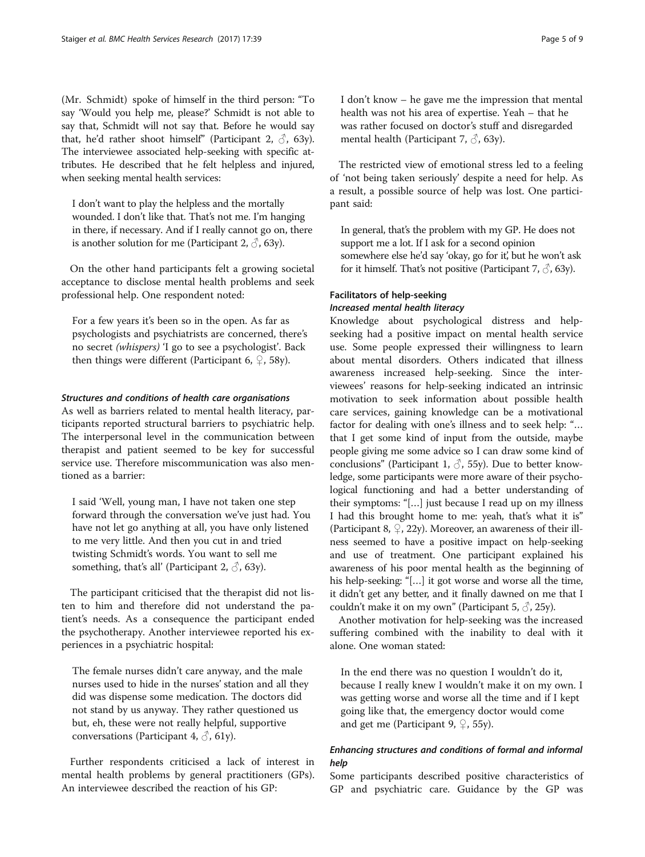(Mr. Schmidt) spoke of himself in the third person: "To say 'Would you help me, please?' Schmidt is not able to say that, Schmidt will not say that. Before he would say that, he'd rather shoot himself" (Participant 2,  $\Diamond$ , 63y). The interviewee associated help-seeking with specific attributes. He described that he felt helpless and injured, when seeking mental health services:

I don't want to play the helpless and the mortally wounded. I don't like that. That's not me. I'm hanging in there, if necessary. And if I really cannot go on, there is another solution for me (Participant 2,  $\Diamond$ , 63y).

On the other hand participants felt a growing societal acceptance to disclose mental health problems and seek professional help. One respondent noted:

For a few years it's been so in the open. As far as psychologists and psychiatrists are concerned, there's no secret (whispers) 'I go to see a psychologist'. Back then things were different (Participant 6,  $\mathcal{Q}$ , 58y).

## Structures and conditions of health care organisations

As well as barriers related to mental health literacy, participants reported structural barriers to psychiatric help. The interpersonal level in the communication between therapist and patient seemed to be key for successful service use. Therefore miscommunication was also mentioned as a barrier:

I said 'Well, young man, I have not taken one step forward through the conversation we've just had. You have not let go anything at all, you have only listened to me very little. And then you cut in and tried twisting Schmidt's words. You want to sell me something, that's all' (Participant 2,  $\Diamond$ , 63y).

The participant criticised that the therapist did not listen to him and therefore did not understand the patient's needs. As a consequence the participant ended the psychotherapy. Another interviewee reported his experiences in a psychiatric hospital:

The female nurses didn't care anyway, and the male nurses used to hide in the nurses' station and all they did was dispense some medication. The doctors did not stand by us anyway. They rather questioned us but, eh, these were not really helpful, supportive conversations (Participant 4,  $\Diamond$ , 61y).

Further respondents criticised a lack of interest in mental health problems by general practitioners (GPs). An interviewee described the reaction of his GP:

I don't know – he gave me the impression that mental health was not his area of expertise. Yeah – that he was rather focused on doctor's stuff and disregarded mental health (Participant 7,  $\Diamond$ , 63y).

The restricted view of emotional stress led to a feeling of 'not being taken seriously' despite a need for help. As a result, a possible source of help was lost. One participant said:

In general, that's the problem with my GP. He does not support me a lot. If I ask for a second opinion somewhere else he'd say 'okay, go for it', but he won't ask for it himself. That's not positive (Participant 7,  $\Diamond$ , 63y).

# Facilitators of help-seeking

# Increased mental health literacy

Knowledge about psychological distress and helpseeking had a positive impact on mental health service use. Some people expressed their willingness to learn about mental disorders. Others indicated that illness awareness increased help-seeking. Since the interviewees' reasons for help-seeking indicated an intrinsic motivation to seek information about possible health care services, gaining knowledge can be a motivational factor for dealing with one's illness and to seek help: "… that I get some kind of input from the outside, maybe people giving me some advice so I can draw some kind of conclusions" (Participant 1,  $\Diamond$ , 55y). Due to better knowledge, some participants were more aware of their psychological functioning and had a better understanding of their symptoms: "[…] just because I read up on my illness I had this brought home to me: yeah, that's what it is" (Participant 8,  $\mathcal{Q}$ , 22y). Moreover, an awareness of their illness seemed to have a positive impact on help-seeking and use of treatment. One participant explained his awareness of his poor mental health as the beginning of his help-seeking: "[...] it got worse and worse all the time, it didn't get any better, and it finally dawned on me that I couldn't make it on my own" (Participant 5,  $\Diamond$ , 25y).

Another motivation for help-seeking was the increased suffering combined with the inability to deal with it alone. One woman stated:

In the end there was no question I wouldn't do it, because I really knew I wouldn't make it on my own. I was getting worse and worse all the time and if I kept going like that, the emergency doctor would come and get me (Participant 9,  $\varphi$ , 55y).

# Enhancing structures and conditions of formal and informal help

Some participants described positive characteristics of GP and psychiatric care. Guidance by the GP was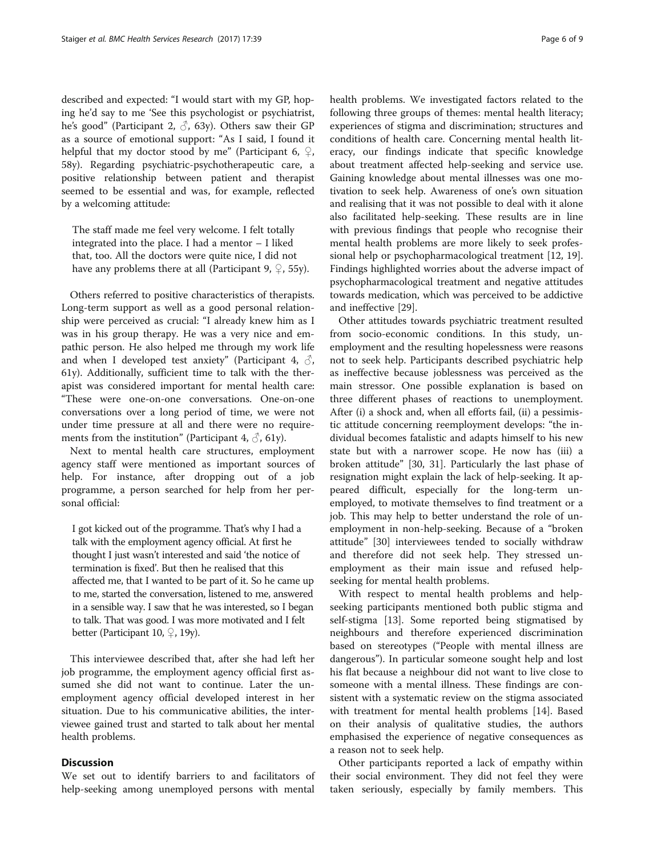described and expected: "I would start with my GP, hoping he'd say to me 'See this psychologist or psychiatrist, he's good" (Participant 2,  $\Diamond$ , 63y). Others saw their GP as a source of emotional support: "As I said, I found it helpful that my doctor stood by me" (Participant 6,  $\varphi$ , 58y). Regarding psychiatric-psychotherapeutic care, a positive relationship between patient and therapist seemed to be essential and was, for example, reflected by a welcoming attitude:

The staff made me feel very welcome. I felt totally integrated into the place. I had a mentor – I liked that, too. All the doctors were quite nice, I did not have any problems there at all (Participant 9,  $\varphi$ , 55y).

Others referred to positive characteristics of therapists. Long-term support as well as a good personal relationship were perceived as crucial: "I already knew him as I was in his group therapy. He was a very nice and empathic person. He also helped me through my work life and when I developed test anxiety" (Participant 4,  $\Diamond$ , 61y). Additionally, sufficient time to talk with the therapist was considered important for mental health care: "These were one-on-one conversations. One-on-one conversations over a long period of time, we were not under time pressure at all and there were no requirements from the institution" (Participant 4,  $\Diamond$ , 61y).

Next to mental health care structures, employment agency staff were mentioned as important sources of help. For instance, after dropping out of a job programme, a person searched for help from her personal official:

I got kicked out of the programme. That's why I had a talk with the employment agency official. At first he thought I just wasn't interested and said 'the notice of termination is fixed'. But then he realised that this affected me, that I wanted to be part of it. So he came up to me, started the conversation, listened to me, answered in a sensible way. I saw that he was interested, so I began to talk. That was good. I was more motivated and I felt better (Participant 10,  $\mathcal{Q}$ , 19y).

This interviewee described that, after she had left her job programme, the employment agency official first assumed she did not want to continue. Later the unemployment agency official developed interest in her situation. Due to his communicative abilities, the interviewee gained trust and started to talk about her mental health problems.

# **Discussion**

We set out to identify barriers to and facilitators of help-seeking among unemployed persons with mental health problems. We investigated factors related to the following three groups of themes: mental health literacy; experiences of stigma and discrimination; structures and conditions of health care. Concerning mental health literacy, our findings indicate that specific knowledge about treatment affected help-seeking and service use. Gaining knowledge about mental illnesses was one motivation to seek help. Awareness of one's own situation and realising that it was not possible to deal with it alone also facilitated help-seeking. These results are in line with previous findings that people who recognise their mental health problems are more likely to seek professional help or psychopharmacological treatment [\[12](#page-7-0), [19](#page-7-0)]. Findings highlighted worries about the adverse impact of psychopharmacological treatment and negative attitudes towards medication, which was perceived to be addictive and ineffective [\[29](#page-7-0)].

Other attitudes towards psychiatric treatment resulted from socio-economic conditions. In this study, unemployment and the resulting hopelessness were reasons not to seek help. Participants described psychiatric help as ineffective because joblessness was perceived as the main stressor. One possible explanation is based on three different phases of reactions to unemployment. After (i) a shock and, when all efforts fail, (ii) a pessimistic attitude concerning reemployment develops: "the individual becomes fatalistic and adapts himself to his new state but with a narrower scope. He now has (iii) a broken attitude" [\[30](#page-7-0), [31](#page-7-0)]. Particularly the last phase of resignation might explain the lack of help-seeking. It appeared difficult, especially for the long-term unemployed, to motivate themselves to find treatment or a job. This may help to better understand the role of unemployment in non-help-seeking. Because of a "broken attitude" [[30](#page-7-0)] interviewees tended to socially withdraw and therefore did not seek help. They stressed unemployment as their main issue and refused helpseeking for mental health problems.

With respect to mental health problems and helpseeking participants mentioned both public stigma and self-stigma [[13\]](#page-7-0). Some reported being stigmatised by neighbours and therefore experienced discrimination based on stereotypes ("People with mental illness are dangerous"). In particular someone sought help and lost his flat because a neighbour did not want to live close to someone with a mental illness. These findings are consistent with a systematic review on the stigma associated with treatment for mental health problems [\[14\]](#page-7-0). Based on their analysis of qualitative studies, the authors emphasised the experience of negative consequences as a reason not to seek help.

Other participants reported a lack of empathy within their social environment. They did not feel they were taken seriously, especially by family members. This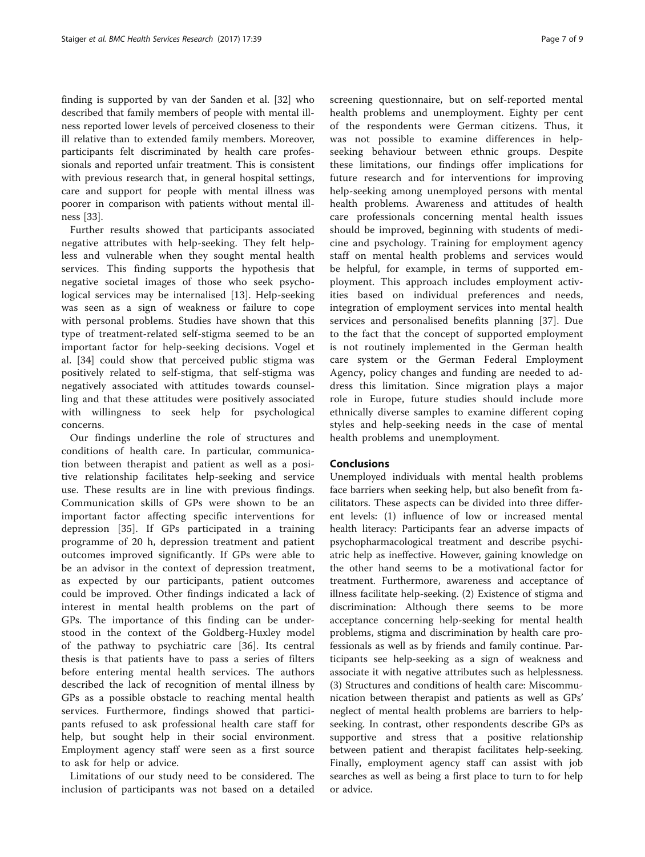finding is supported by van der Sanden et al. [\[32\]](#page-7-0) who described that family members of people with mental illness reported lower levels of perceived closeness to their ill relative than to extended family members. Moreover, participants felt discriminated by health care professionals and reported unfair treatment. This is consistent with previous research that, in general hospital settings, care and support for people with mental illness was poorer in comparison with patients without mental illness [\[33](#page-7-0)].

Further results showed that participants associated negative attributes with help-seeking. They felt helpless and vulnerable when they sought mental health services. This finding supports the hypothesis that negative societal images of those who seek psychological services may be internalised [\[13](#page-7-0)]. Help-seeking was seen as a sign of weakness or failure to cope with personal problems. Studies have shown that this type of treatment-related self-stigma seemed to be an important factor for help-seeking decisions. Vogel et al. [\[34](#page-8-0)] could show that perceived public stigma was positively related to self-stigma, that self-stigma was negatively associated with attitudes towards counselling and that these attitudes were positively associated with willingness to seek help for psychological concerns.

Our findings underline the role of structures and conditions of health care. In particular, communication between therapist and patient as well as a positive relationship facilitates help-seeking and service use. These results are in line with previous findings. Communication skills of GPs were shown to be an important factor affecting specific interventions for depression [[35](#page-8-0)]. If GPs participated in a training programme of 20 h, depression treatment and patient outcomes improved significantly. If GPs were able to be an advisor in the context of depression treatment, as expected by our participants, patient outcomes could be improved. Other findings indicated a lack of interest in mental health problems on the part of GPs. The importance of this finding can be understood in the context of the Goldberg-Huxley model of the pathway to psychiatric care [\[36](#page-8-0)]. Its central thesis is that patients have to pass a series of filters before entering mental health services. The authors described the lack of recognition of mental illness by GPs as a possible obstacle to reaching mental health services. Furthermore, findings showed that participants refused to ask professional health care staff for help, but sought help in their social environment. Employment agency staff were seen as a first source to ask for help or advice.

Limitations of our study need to be considered. The inclusion of participants was not based on a detailed screening questionnaire, but on self-reported mental health problems and unemployment. Eighty per cent of the respondents were German citizens. Thus, it was not possible to examine differences in helpseeking behaviour between ethnic groups. Despite these limitations, our findings offer implications for future research and for interventions for improving help-seeking among unemployed persons with mental health problems. Awareness and attitudes of health care professionals concerning mental health issues should be improved, beginning with students of medicine and psychology. Training for employment agency staff on mental health problems and services would be helpful, for example, in terms of supported employment. This approach includes employment activities based on individual preferences and needs, integration of employment services into mental health services and personalised benefits planning [[37](#page-8-0)]. Due to the fact that the concept of supported employment is not routinely implemented in the German health care system or the German Federal Employment Agency, policy changes and funding are needed to address this limitation. Since migration plays a major role in Europe, future studies should include more ethnically diverse samples to examine different coping styles and help-seeking needs in the case of mental health problems and unemployment.

# Conclusions

Unemployed individuals with mental health problems face barriers when seeking help, but also benefit from facilitators. These aspects can be divided into three different levels: (1) influence of low or increased mental health literacy: Participants fear an adverse impacts of psychopharmacological treatment and describe psychiatric help as ineffective. However, gaining knowledge on the other hand seems to be a motivational factor for treatment. Furthermore, awareness and acceptance of illness facilitate help-seeking. (2) Existence of stigma and discrimination: Although there seems to be more acceptance concerning help-seeking for mental health problems, stigma and discrimination by health care professionals as well as by friends and family continue. Participants see help-seeking as a sign of weakness and associate it with negative attributes such as helplessness. (3) Structures and conditions of health care: Miscommunication between therapist and patients as well as GPs' neglect of mental health problems are barriers to helpseeking. In contrast, other respondents describe GPs as supportive and stress that a positive relationship between patient and therapist facilitates help-seeking. Finally, employment agency staff can assist with job searches as well as being a first place to turn to for help or advice.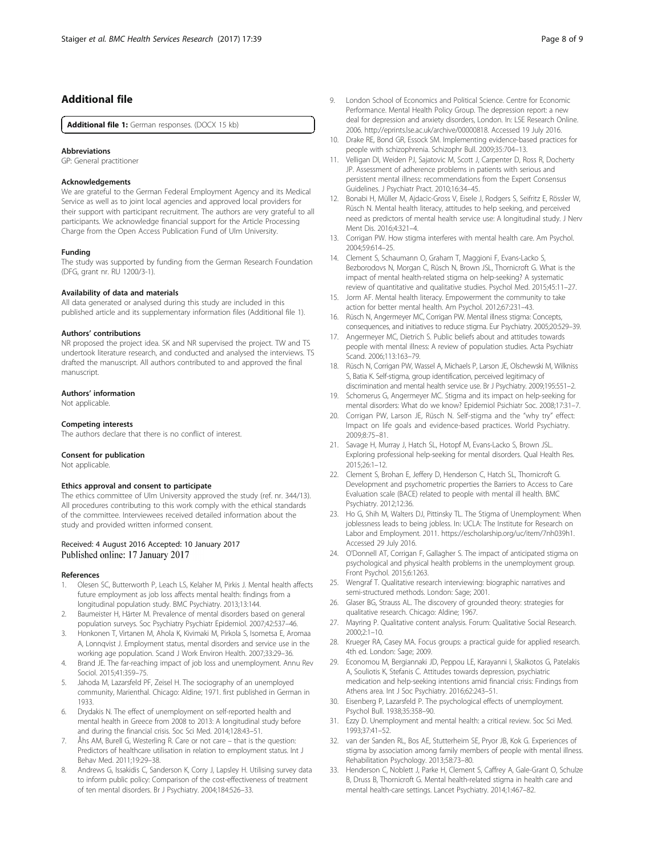# <span id="page-7-0"></span>Additional file

[Additional file 1:](dx.doi.org/10.1186/s12913-017-1997-6) German responses. (DOCX 15 kb)

#### Abbreviations

GP: General practitioner

## Acknowledgements

We are grateful to the German Federal Employment Agency and its Medical Service as well as to joint local agencies and approved local providers for their support with participant recruitment. The authors are very grateful to all participants. We acknowledge financial support for the Article Processing Charge from the Open Access Publication Fund of Ulm University.

#### Funding

The study was supported by funding from the German Research Foundation (DFG, grant nr. RU 1200/3-1).

#### Availability of data and materials

All data generated or analysed during this study are included in this published article and its supplementary information files (Additional file 1).

#### Authors' contributions

NR proposed the project idea. SK and NR supervised the project. TW and TS undertook literature research, and conducted and analysed the interviews. TS drafted the manuscript. All authors contributed to and approved the final manuscript.

#### Authors' information

Not applicable.

#### Competing interests

The authors declare that there is no conflict of interest.

#### Consent for publication

Not applicable.

### Ethics approval and consent to participate

The ethics committee of Ulm University approved the study (ref. nr. 344/13). All procedures contributing to this work comply with the ethical standards of the committee. Interviewees received detailed information about the study and provided written informed consent.

#### Received: 4 August 2016 Accepted: 10 January 2017 Published online: 17 January 2017

#### References

- 1. Olesen SC, Butterworth P, Leach LS, Kelaher M, Pirkis J. Mental health affects future employment as job loss affects mental health: findings from a longitudinal population study. BMC Psychiatry. 2013;13:144.
- 2. Baumeister H, Härter M. Prevalence of mental disorders based on general population surveys. Soc Psychiatry Psychiatr Epidemiol. 2007;42:537–46.
- 3. Honkonen T, Virtanen M, Ahola K, Kivimaki M, Pirkola S, Isometsa E, Aromaa A, Lonnqvist J. Employment status, mental disorders and service use in the working age population. Scand J Work Environ Health. 2007;33:29–36.
- 4. Brand JE. The far-reaching impact of job loss and unemployment. Annu Rev Sociol. 2015;41:359–75.
- Jahoda M, Lazarsfeld PF, Zeisel H. The sociography of an unemployed community, Marienthal. Chicago: Aldine; 1971. first published in German in 1933.
- 6. Drydakis N. The effect of unemployment on self-reported health and mental health in Greece from 2008 to 2013: A longitudinal study before and during the financial crisis. Soc Sci Med. 2014;128:43–51.
- Åhs AM, Burell G, Westerling R. Care or not care that is the question: Predictors of healthcare utilisation in relation to employment status. Int J Behav Med. 2011;19:29–38.
- 8. Andrews G, Issakidis C, Sanderson K, Corry J, Lapsley H. Utilising survey data to inform public policy: Comparison of the cost-effectiveness of treatment of ten mental disorders. Br J Psychiatry. 2004;184:526–33.
- 9. London School of Economics and Political Science. Centre for Economic Performance. Mental Health Policy Group. The depression report: a new deal for depression and anxiety disorders, London. In: LSE Research Online. 2006. [http://eprints.lse.ac.uk/archive/00000818.](http://eprints.lse.ac.uk/archive/00000818) Accessed 19 July 2016.
- 10. Drake RE, Bond GR, Essock SM. Implementing evidence-based practices for people with schizophrenia. Schizophr Bull. 2009;35:704–13.
- 11. Velligan DI, Weiden PJ, Sajatovic M, Scott J, Carpenter D, Ross R, Docherty JP. Assessment of adherence problems in patients with serious and persistent mental illness: recommendations from the Expert Consensus Guidelines. J Psychiatr Pract. 2010;16:34–45.
- 12. Bonabi H, Müller M, Ajdacic-Gross V, Eisele J, Rodgers S, Seifritz E, Rössler W, Rüsch N. Mental health literacy, attitudes to help seeking, and perceived need as predictors of mental health service use: A longitudinal study. J Nerv Ment Dis. 2016;4:321–4.
- 13. Corrigan PW. How stigma interferes with mental health care. Am Psychol. 2004;59:614–25.
- 14. Clement S, Schaumann O, Graham T, Maggioni F, Evans-Lacko S, Bezborodovs N, Morgan C, Rüsch N, Brown JSL, Thornicroft G. What is the impact of mental health-related stigma on help-seeking? A systematic review of quantitative and qualitative studies. Psychol Med. 2015;45:11–27.
- 15. Jorm AF. Mental health literacy. Empowerment the community to take action for better mental health. Am Psychol. 2012;67:231–43.
- 16. Rüsch N, Angermeyer MC, Corrigan PW. Mental illness stigma: Concepts, consequences, and initiatives to reduce stigma. Eur Psychiatry. 2005;20:529–39.
- 17. Angermeyer MC, Dietrich S. Public beliefs about and attitudes towards people with mental illness: A review of population studies. Acta Psychiatr Scand. 2006;113:163–79.
- 18. Rüsch N, Corrigan PW, Wassel A, Michaels P, Larson JE, Olschewski M, Wilkniss S, Batia K. Self-stigma, group identification, perceived legitimacy of discrimination and mental health service use. Br J Psychiatry. 2009;195:551–2.
- 19. Schomerus G, Angermeyer MC. Stigma and its impact on help-seeking for mental disorders: What do we know? Epidemiol Psichiatr Soc. 2008;17:31–7.
- 20. Corrigan PW, Larson JE, Rüsch N. Self-stigma and the "why try" effect: Impact on life goals and evidence-based practices. World Psychiatry. 2009;8:75–81.
- 21. Savage H, Murray J, Hatch SL, Hotopf M, Evans-Lacko S, Brown JSL. Exploring professional help-seeking for mental disorders. Qual Health Res. 2015;26:1–12.
- 22. Clement S, Brohan E, Jeffery D, Henderson C, Hatch SL, Thornicroft G. Development and psychometric properties the Barriers to Access to Care Evaluation scale (BACE) related to people with mental ill health. BMC Psychiatry. 2012;12:36.
- 23. Ho G, Shih M, Walters DJ, Pittinsky TL. The Stigma of Unemployment: When joblessness leads to being jobless. In: UCLA: The Institute for Research on Labor and Employment. 2011. https://escholarship.org/uc/item/7nh039h1. Accessed 29 July 2016.
- 24. O'Donnell AT, Corrigan F, Gallagher S. The impact of anticipated stigma on psychological and physical health problems in the unemployment group. Front Psychol. 2015;6:1263.
- 25. Wengraf T. Qualitative research interviewing: biographic narratives and semi-structured methods. London: Sage; 2001.
- 26. Glaser BG, Strauss AL. The discovery of grounded theory: strategies for qualitative research. Chicago: Aldine; 1967.
- 27. Mayring P. Qualitative content analysis. Forum: Qualitative Social Research. 2000;2:1–10.
- 28. Krueger RA, Casey MA. Focus groups: a practical guide for applied research. 4th ed. London: Sage; 2009.
- 29. Economou M, Bergiannaki JD, Peppou LE, Karayanni I, Skalkotos G, Patelakis A, Souliotis K, Stefanis C. Attitudes towards depression, psychiatric medication and help-seeking intentions amid financial crisis: Findings from Athens area. Int J Soc Psychiatry. 2016;62:243–51.
- 30. Eisenberg P, Lazarsfeld P. The psychological effects of unemployment. Psychol Bull. 1938;35:358–90.
- 31. Ezzy D. Unemployment and mental health: a critical review. Soc Sci Med. 1993;37:41–52.
- 32. van der Sanden RL, Bos AE, Stutterheim SE, Pryor JB, Kok G. Experiences of stigma by association among family members of people with mental illness. Rehabilitation Psychology. 2013;58:73–80.
- 33. Henderson C, Noblett J, Parke H, Clement S, Caffrey A, Gale-Grant O, Schulze B, Druss B, Thornicroft G. Mental health-related stigma in health care and mental health-care settings. Lancet Psychiatry. 2014;1:467–82.